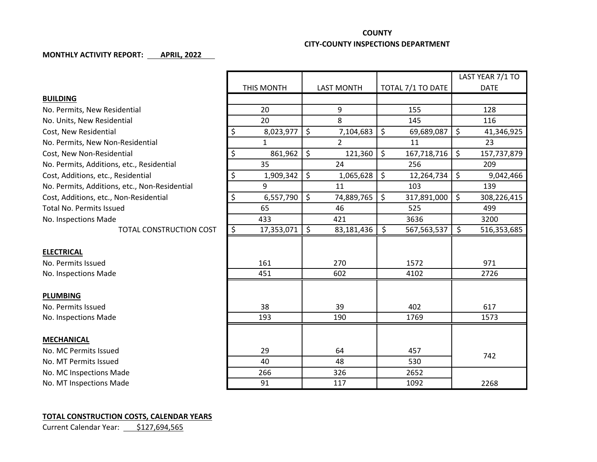## **COUNTY CITY-COUNTY INSPECTIONS DEPARTMENT**

## **MONTHLY ACTIVITY REPORT: APRIL, 2022**

|                                               |                  |                   |                                   | LAST YEAR 7/1 TO  |
|-----------------------------------------------|------------------|-------------------|-----------------------------------|-------------------|
|                                               | THIS MONTH       | <b>LAST MONTH</b> | TOTAL 7/1 TO DATE                 | <b>DATE</b>       |
| <b>BUILDING</b>                               |                  |                   |                                   |                   |
| No. Permits, New Residential                  | 20               | 9                 | 155                               | 128               |
| No. Units, New Residential                    | 20               | 8                 | 145                               | 116               |
| Cost, New Residential                         | \$<br>8,023,977  | \$<br>7,104,683   | \$<br>69,689,087                  | \$<br>41,346,925  |
| No. Permits, New Non-Residential              | $\mathbf{1}$     | $\overline{2}$    | 11                                | 23                |
| Cost, New Non-Residential                     | \$<br>861,962    | \$<br>121,360     | $\zeta$<br>167,718,716            | \$<br>157,737,879 |
| No. Permits, Additions, etc., Residential     | 35               | 24                | 256                               | 209               |
| Cost, Additions, etc., Residential            | \$<br>1,909,342  | \$<br>1,065,628   | $\ddot{\mathsf{S}}$<br>12,264,734 | \$<br>9,042,466   |
| No. Permits, Additions, etc., Non-Residential | 9                | 11                | 103                               | 139               |
| Cost, Additions, etc., Non-Residential        | \$<br>6,557,790  | \$<br>74,889,765  | \$<br>317,891,000                 | \$<br>308,226,415 |
| <b>Total No. Permits Issued</b>               | 65               | 46                | 525                               | 499               |
| No. Inspections Made                          | 433              | 421               | 3636                              | 3200              |
| <b>TOTAL CONSTRUCTION COST</b>                | \$<br>17,353,071 | \$<br>83,181,436  | \$<br>567, 563, 537               | \$<br>516,353,685 |
|                                               |                  |                   |                                   |                   |
| <b>ELECTRICAL</b>                             |                  |                   |                                   |                   |
| No. Permits Issued                            | 161              | 270               | 1572                              | 971               |
| No. Inspections Made                          | 451              | 602               | 4102                              | 2726              |
|                                               |                  |                   |                                   |                   |
| <b>PLUMBING</b>                               |                  |                   |                                   |                   |
| No. Permits Issued                            | 38               | 39                | 402                               | 617               |
| No. Inspections Made                          | 193              | 190               | 1769                              | 1573              |
|                                               |                  |                   |                                   |                   |
| <b>MECHANICAL</b>                             |                  |                   |                                   |                   |
| No. MC Permits Issued                         | 29               | 64                | 457                               | 742               |
| No. MT Permits Issued                         | 40               | 48                | 530                               |                   |
| No. MC Inspections Made                       | 266              | 326               | 2652                              |                   |
| No. MT Inspections Made                       | 91               | 117               | 1092                              | 2268              |

## **TOTAL CONSTRUCTION COSTS, CALENDAR YEARS**

Current Calendar Year: \$127,694,565